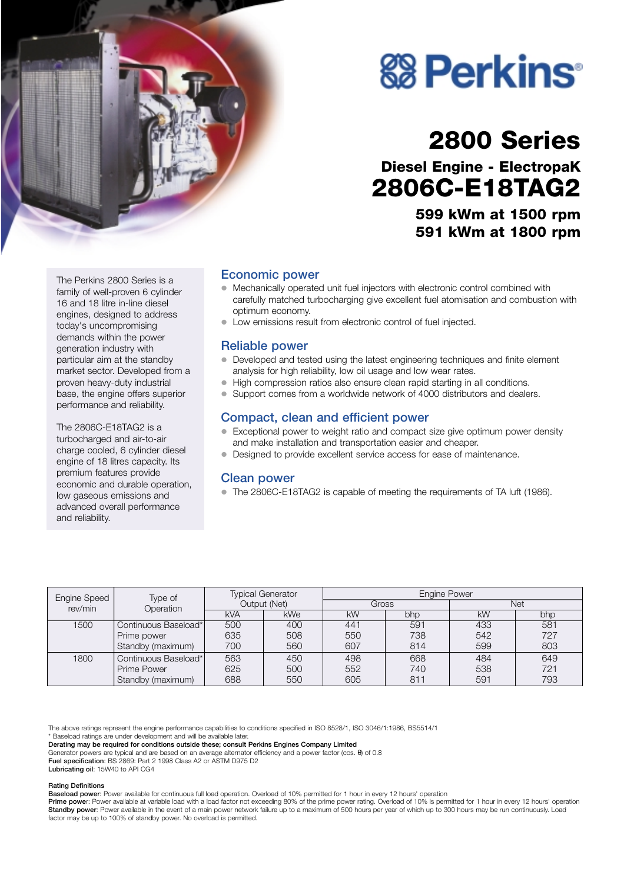

# **& Perkins**

# **2800 Series**

**Diesel Engine - ElectropaK 2806C-E18TAG2**

> **599 kWm at 1500 rpm 591 kWm at 1800 rpm**

The Perkins 2800 Series is a family of well-proven 6 cylinder 16 and 18 litre in-line diesel engines, designed to address today's uncompromising demands within the power generation industry with particular aim at the standby market sector. Developed from a proven heavy-duty industrial base, the engine offers superior performance and reliability.

The 2806C-E18TAG2 is a turbocharged and air-to-air charge cooled, 6 cylinder diesel engine of 18 litres capacity. Its premium features provide economic and durable operation, low gaseous emissions and advanced overall performance and reliability.

## **Economic power**

- Mechanically operated unit fuel injectors with electronic control combined with carefully matched turbocharging give excellent fuel atomisation and combustion with optimum economy.
- ! Low emissions result from electronic control of fuel injected.

### **Reliable power**

- $\bullet$  Developed and tested using the latest engineering techniques and finite element analysis for high reliability, low oil usage and low wear rates.
- ! High compression ratios also ensure clean rapid starting in all conditions.
- Support comes from a worldwide network of 4000 distributors and dealers.

# **Compact, clean and efficient power**

- Exceptional power to weight ratio and compact size give optimum power density and make installation and transportation easier and cheaper.
- Designed to provide excellent service access for ease of maintenance.

#### **Clean power**

! The 2806C-E18TAG2 is capable of meeting the requirements of TA luft (1986).

| Engine Speed | Type of<br>Operation | <b>Typical Generator</b><br>Output (Net) |            | <b>Engine Power</b> |     |           |     |
|--------------|----------------------|------------------------------------------|------------|---------------------|-----|-----------|-----|
| rev/min      |                      |                                          |            | Gross               |     | Net       |     |
|              |                      | <b>kVA</b>                               | <b>kWe</b> | <b>kW</b>           | bhp | <b>kW</b> | bhp |
| 1500         | Continuous Baseload* | 500                                      | 400        | 441                 | 591 | 433       | 581 |
|              | Prime power          | 635                                      | 508        | 550                 | 738 | 542       | 727 |
|              | Standby (maximum)    | 700                                      | 560        | 607                 | 814 | 599       | 803 |
| 1800         | Continuous Baseload* | 563                                      | 450        | 498                 | 668 | 484       | 649 |
|              | Prime Power          | 625                                      | 500        | 552                 | 740 | 538       | 721 |
|              | Standby (maximum)    | 688                                      | 550        | 605                 | 811 | 591       | 793 |

The above ratings represent the engine performance capabilities to conditions specified in ISO 8528/1, ISO 3046/1:1986, BS5514/1

\* Baseload ratings are under development and will be available later.

**Derating may be required for conditions outside these; consult Perkins Engines Company Limited**

Generator powers are typical and are based on an average alternator efficiency and a power factor (cos. θ) of 0.8 **Fuel specification**: BS 2869: Part 2 1998 Class A2 or ASTM D975 D2

**Lubricating oil**: 15W40 to API CG4

#### **Rating Definitions**

**Baseload power**: Power available for continuous full load operation. Overload of 10% permitted for 1 hour in every 12 hours' operation

Prime power: Power available at variable load with a load factor not exceeding 80% of the prime power rating. Overload of 10% is permitted for 1 hour in every 12 hours' operation **Standby power**: Power available in the event of a main power network failure up to a maximum of 500 hours per year of which up to 300 hours may be run continuously. Load factor may be up to 100% of standby power. No overload is permitted.